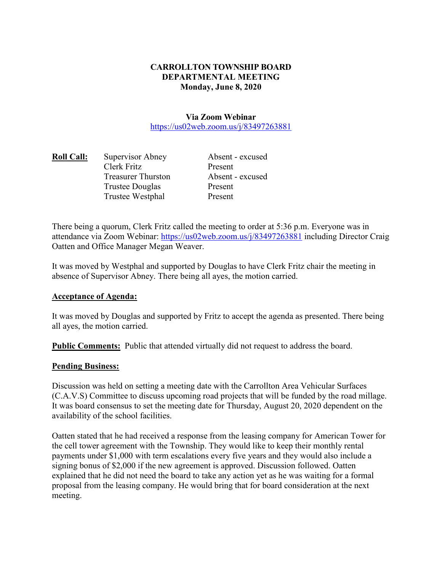# **CARROLLTON TOWNSHIP BOARD DEPARTMENTAL MEETING Monday, June 8, 2020**

**Via Zoom Webinar**  https://us02web.zoom.us/j/83497263881

| <b>Roll Call:</b> | Supervisor Abney          | Absent - excused |
|-------------------|---------------------------|------------------|
|                   | Clerk Fritz               | Present          |
|                   | <b>Treasurer Thurston</b> | Absent - excused |
|                   | <b>Trustee Douglas</b>    | Present          |
|                   | Trustee Westphal          | Present          |

There being a quorum, Clerk Fritz called the meeting to order at 5:36 p.m. Everyone was in attendance via Zoom Webinar: https://us02web.zoom.us/j/83497263881 including Director Craig Oatten and Office Manager Megan Weaver.

It was moved by Westphal and supported by Douglas to have Clerk Fritz chair the meeting in absence of Supervisor Abney. There being all ayes, the motion carried.

### **Acceptance of Agenda:**

It was moved by Douglas and supported by Fritz to accept the agenda as presented. There being all ayes, the motion carried.

**Public Comments:** Public that attended virtually did not request to address the board.

### **Pending Business:**

Discussion was held on setting a meeting date with the Carrollton Area Vehicular Surfaces (C.A.V.S) Committee to discuss upcoming road projects that will be funded by the road millage. It was board consensus to set the meeting date for Thursday, August 20, 2020 dependent on the availability of the school facilities.

Oatten stated that he had received a response from the leasing company for American Tower for the cell tower agreement with the Township. They would like to keep their monthly rental payments under \$1,000 with term escalations every five years and they would also include a signing bonus of \$2,000 if the new agreement is approved. Discussion followed. Oatten explained that he did not need the board to take any action yet as he was waiting for a formal proposal from the leasing company. He would bring that for board consideration at the next meeting.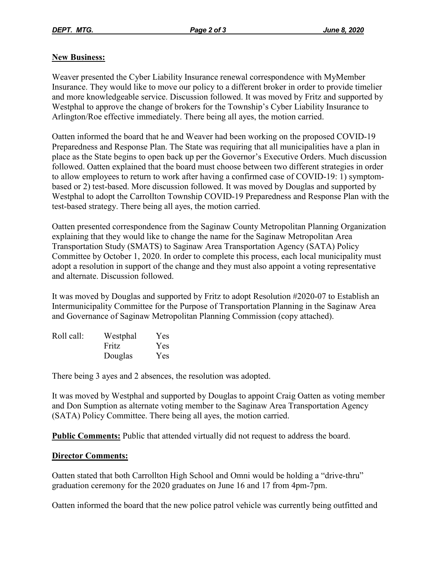# **New Business:**

Weaver presented the Cyber Liability Insurance renewal correspondence with MyMember Insurance. They would like to move our policy to a different broker in order to provide timelier and more knowledgeable service. Discussion followed. It was moved by Fritz and supported by Westphal to approve the change of brokers for the Township's Cyber Liability Insurance to Arlington/Roe effective immediately. There being all ayes, the motion carried.

Oatten informed the board that he and Weaver had been working on the proposed COVID-19 Preparedness and Response Plan. The State was requiring that all municipalities have a plan in place as the State begins to open back up per the Governor's Executive Orders. Much discussion followed. Oatten explained that the board must choose between two different strategies in order to allow employees to return to work after having a confirmed case of COVID-19: 1) symptombased or 2) test-based. More discussion followed. It was moved by Douglas and supported by Westphal to adopt the Carrollton Township COVID-19 Preparedness and Response Plan with the test-based strategy. There being all ayes, the motion carried.

Oatten presented correspondence from the Saginaw County Metropolitan Planning Organization explaining that they would like to change the name for the Saginaw Metropolitan Area Transportation Study (SMATS) to Saginaw Area Transportation Agency (SATA) Policy Committee by October 1, 2020. In order to complete this process, each local municipality must adopt a resolution in support of the change and they must also appoint a voting representative and alternate. Discussion followed.

It was moved by Douglas and supported by Fritz to adopt Resolution #2020-07 to Establish an Intermunicipality Committee for the Purpose of Transportation Planning in the Saginaw Area and Governance of Saginaw Metropolitan Planning Commission (copy attached).

| Roll call: | Westphal | Yes |
|------------|----------|-----|
|            | Fritz    | Yes |
|            | Douglas  | Yes |

There being 3 ayes and 2 absences, the resolution was adopted.

It was moved by Westphal and supported by Douglas to appoint Craig Oatten as voting member and Don Sumption as alternate voting member to the Saginaw Area Transportation Agency (SATA) Policy Committee. There being all ayes, the motion carried.

**Public Comments:** Public that attended virtually did not request to address the board.

# **Director Comments:**

Oatten stated that both Carrollton High School and Omni would be holding a "drive-thru" graduation ceremony for the 2020 graduates on June 16 and 17 from 4pm-7pm.

Oatten informed the board that the new police patrol vehicle was currently being outfitted and